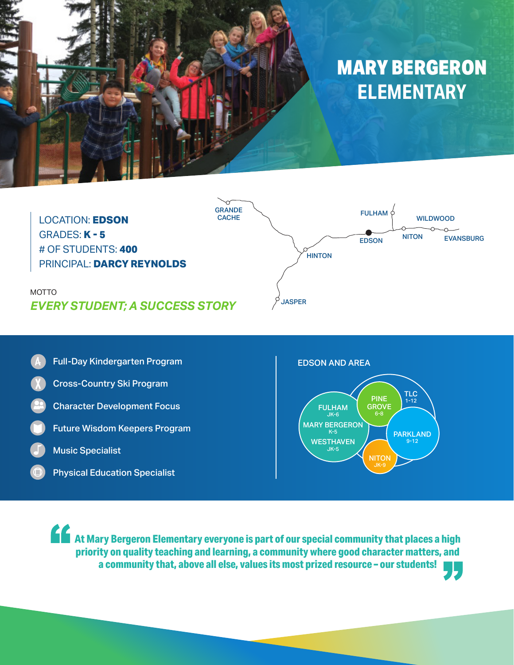





EDSON AND AREA



**At Mary Bergeron Elementary everyone is part of our special community that places a high and the special community that places a high and the special community that places a high priority on quality teaching and learning, a community where good character matters, and a community that, above all else, values its most prized resource – our students!**